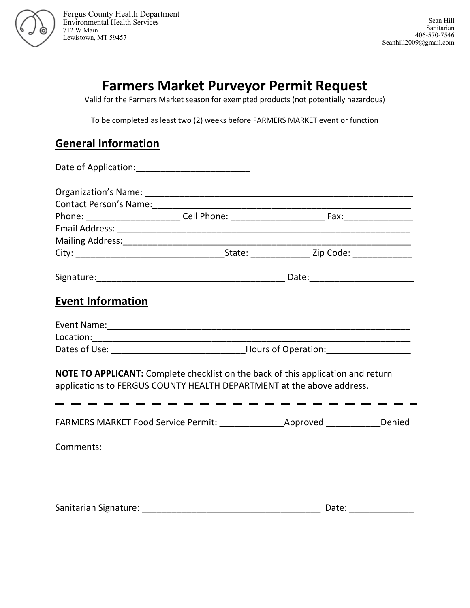

Fergus County Health Department Environmental Health Services 712 W Main Lewistown, MT 59457

## **Farmers Market Purveyor Permit Request**

Valid for the Farmers Market season for exempted products (not potentially hazardous)

To be completed as least two (2) weeks before FARMERS MARKET event or function

## **General Information**

| <b>Event Information</b>                                                                                                                                         |  |  |  |  |
|------------------------------------------------------------------------------------------------------------------------------------------------------------------|--|--|--|--|
|                                                                                                                                                                  |  |  |  |  |
|                                                                                                                                                                  |  |  |  |  |
|                                                                                                                                                                  |  |  |  |  |
| <b>NOTE TO APPLICANT:</b> Complete checklist on the back of this application and return<br>applications to FERGUS COUNTY HEALTH DEPARTMENT at the above address. |  |  |  |  |

| <b>FARMERS MARKET Food Service Permit:</b> | Approved | Denied |
|--------------------------------------------|----------|--------|
|--------------------------------------------|----------|--------|

Comments:

Sanitarian Signature: \_\_\_\_\_\_\_\_\_\_\_\_\_\_\_\_\_\_\_\_\_\_\_\_\_\_\_\_\_\_\_\_\_\_\_\_ Date: \_\_\_\_\_\_\_\_\_\_\_\_\_